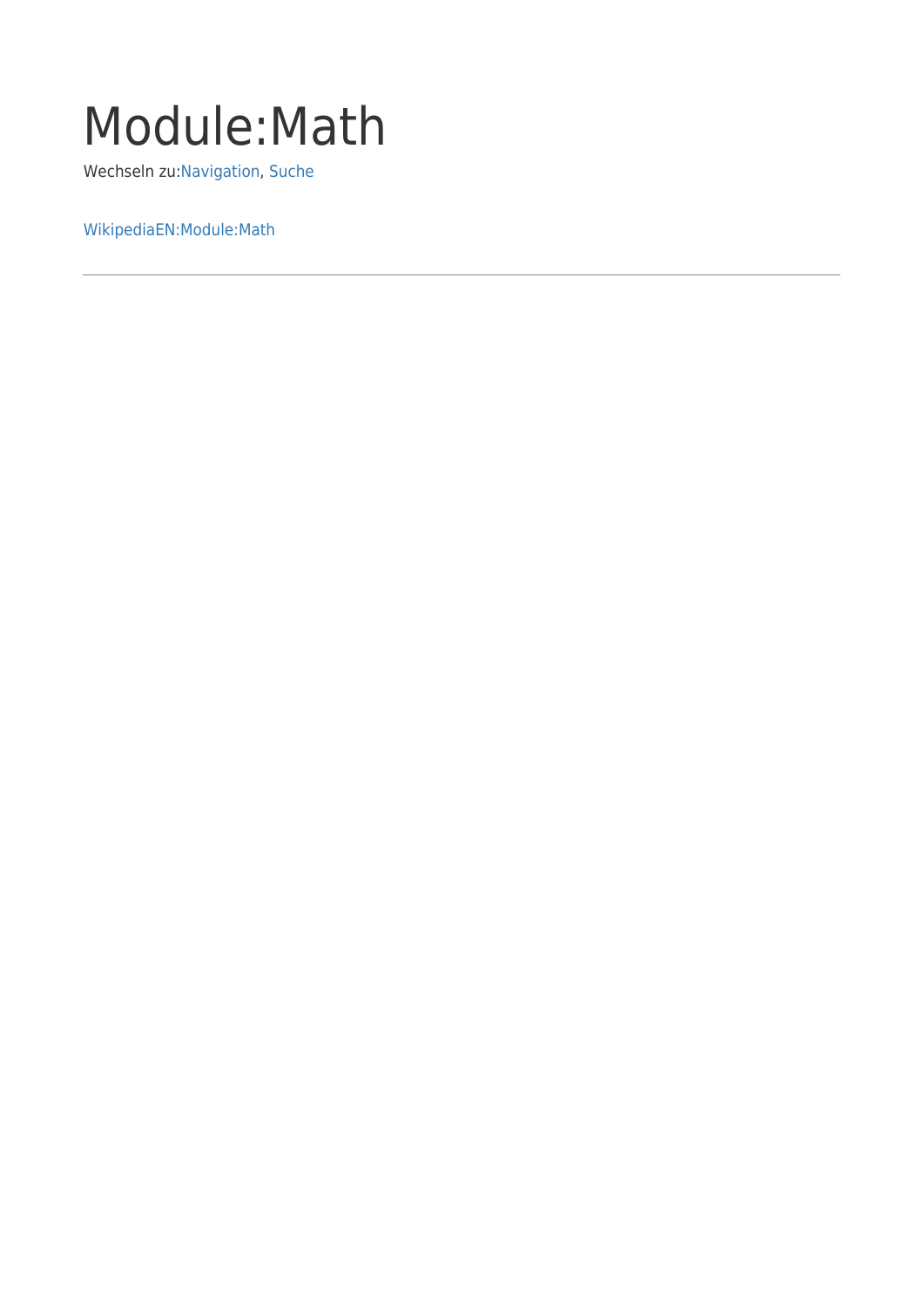## Module:Math

Wechseln zu:[Navigation,](#page--1-0) [Suche](#page--1-0)

[WikipediaEN:Module:Math](http://en.wikipedia.org/wiki/Module:Math)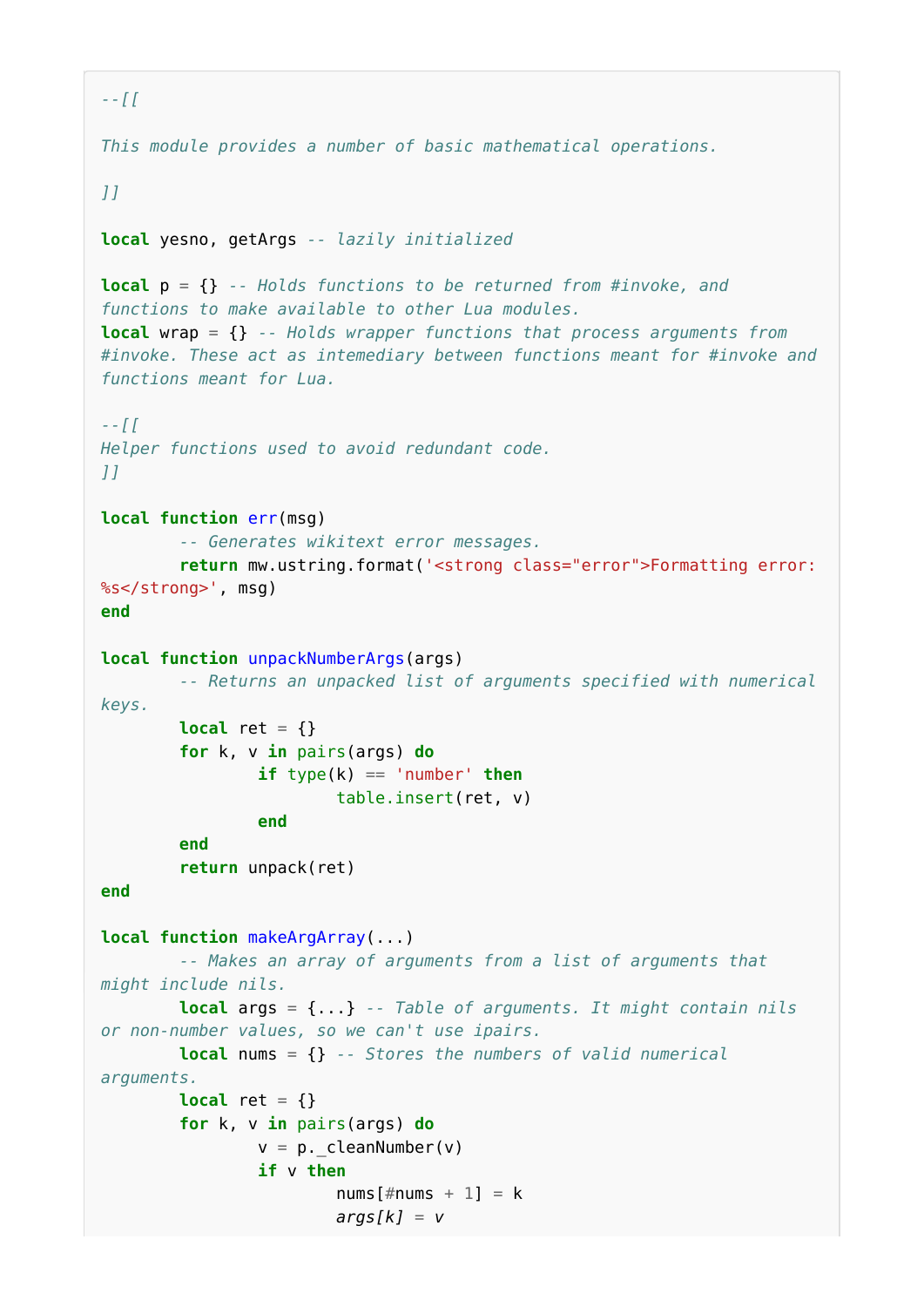```
--[[
This module provides a number of basic mathematical operations.
]]
local yesno, getArgs -- lazily initialized
local p = {} -- Holds functions to be returned from #invoke, and
functions to make available to other Lua modules.
local wrap = {} -- Holds wrapper functions that process arguments from
#invoke. These act as intemediary between functions meant for #invoke and
functions meant for Lua.
--[[
Helper functions used to avoid redundant code.
]]
local function err(msg)
         -- Generates wikitext error messages.
         return mw.ustring.format('<strong class="error">Formatting error:
%s</strong>', msg)
end
local function unpackNumberArgs(args)
         -- Returns an unpacked list of arguments specified with numerical
keys.
        local ret = \{\} for k, v in pairs(args) do
                if type(k) == 'number' then table.insert(ret, v)
                 end
         end
         return unpack(ret)
end
local function makeArgArray(...)
         -- Makes an array of arguments from a list of arguments that
might include nils.
         local args = {...} -- Table of arguments. It might contain nils
or non-number values, so we can't use ipairs.
         local nums = {} -- Stores the numbers of valid numerical
arguments.
        local ret = \{\} for k, v in pairs(args) do
                v = p. cleanNumber(v)
                 if v then
                        nums[#nums + 1] = k args[k] = v
```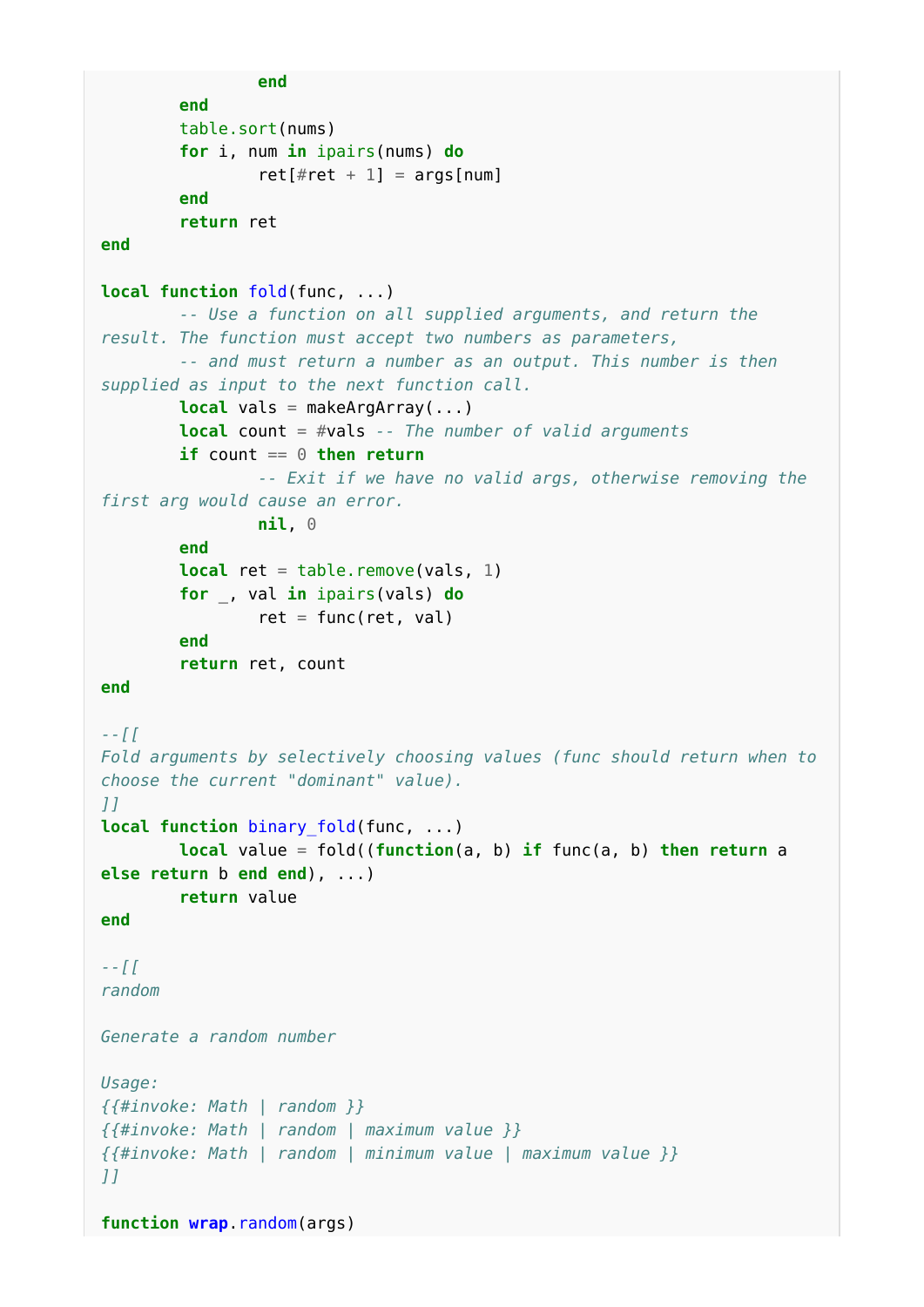```
 end
         end
         table.sort(nums)
         for i, num in ipairs(nums) do
                ret[#ret + 1] = args[num] end
         return ret
end
local function fold(func, ...)
         -- Use a function on all supplied arguments, and return the
result. The function must accept two numbers as parameters,
         -- and must return a number as an output. This number is then
supplied as input to the next function call.
         local vals = makeArgArray(...)
         local count = #vals -- The number of valid arguments
        if count == 0 then return -- Exit if we have no valid args, otherwise removing the
first arg would cause an error.
                 nil, 0
         end
        local ret = table.remove(vals, 1)
         for _, val in ipairs(vals) do
                ret = func(ret, val) end
         return ret, count
end
--[[
Fold arguments by selectively choosing values (func should return when to
choose the current "dominant" value).
]]
local function binary_fold(func, ...)
         local value = fold((function(a, b) if func(a, b) then return a
else return b end end), ...)
         return value
end
--[[
random
Generate a random number
Usage:
{{#invoke: Math | random }}
{{#invoke: Math | random | maximum value }}
{{#invoke: Math | random | minimum value | maximum value }}
]]
function wrap.random(args)
```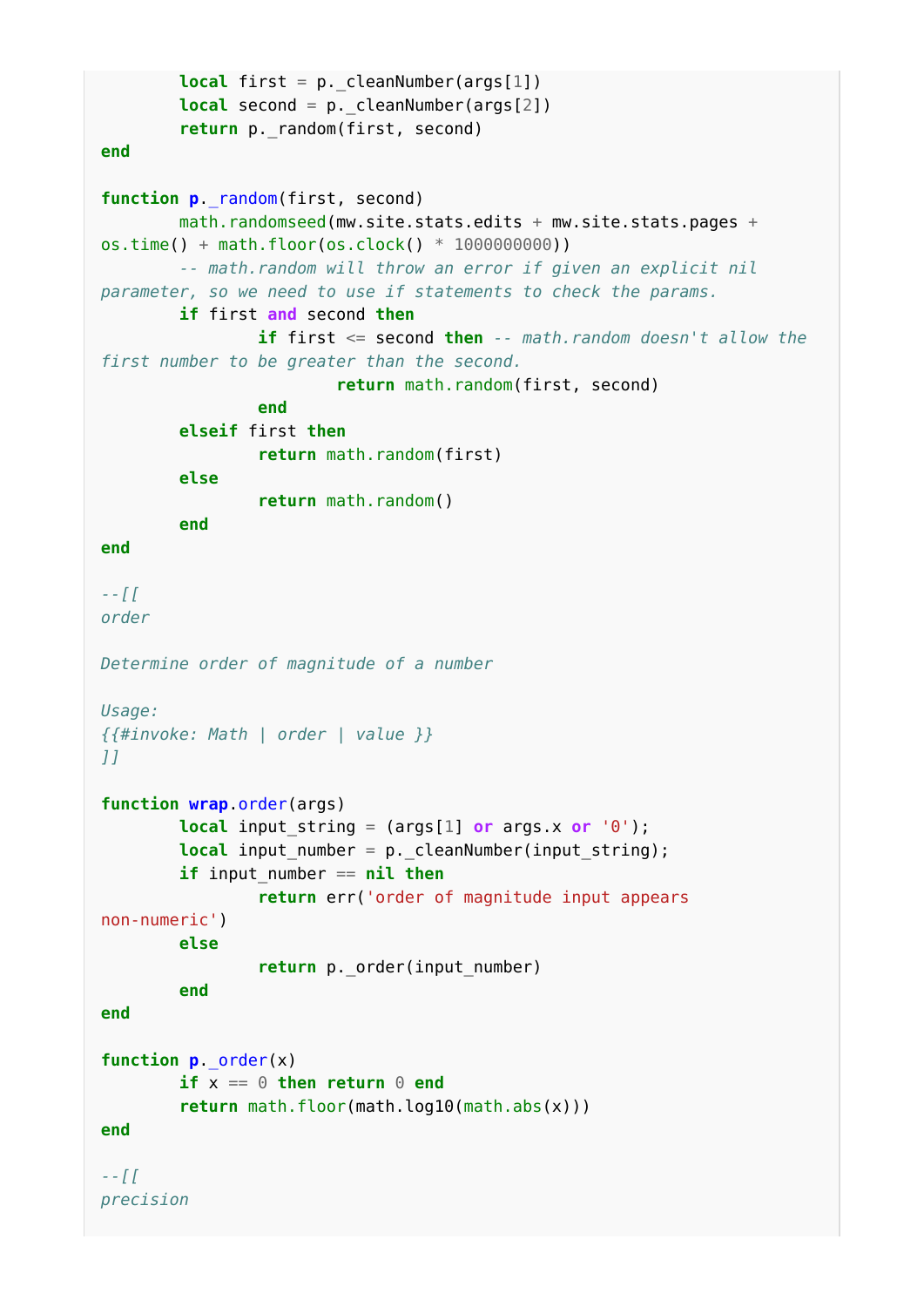```
local first = p. cleanNumber(args[1])
         local second = p._cleanNumber(args[2])
        return p. random(first, second)
end
function p._random(first, second)
        math.randomseed(mw.site.stats.edits + mw.site.stats.pages +
os.time() + math.floor(os.clock() * 1000000000))
         -- math.random will throw an error if given an explicit nil
parameter, so we need to use if statements to check the params.
         if first and second then
                 if first <= second then -- math.random doesn't allow the
first number to be greater than the second.
                          return math.random(first, second)
                 end
         elseif first then
                 return math.random(first)
         else
                 return math.random()
         end
end
--[[
order
Determine order of magnitude of a number
Usage:
{{#invoke: Math | order | value }}
]]
function wrap.order(args)
        local input string = (args[1] or args.x or '0');
         local input_number = p._cleanNumber(input_string);
         if input_number == nil then
                 return err('order of magnitude input appears
non-numeric')
         else
                return p. order(input number)
         end
end
function p._order(x)
        if x == 0 then return 0 end
         return math.floor(math.log10(math.abs(x)))
end
--[[
precision
```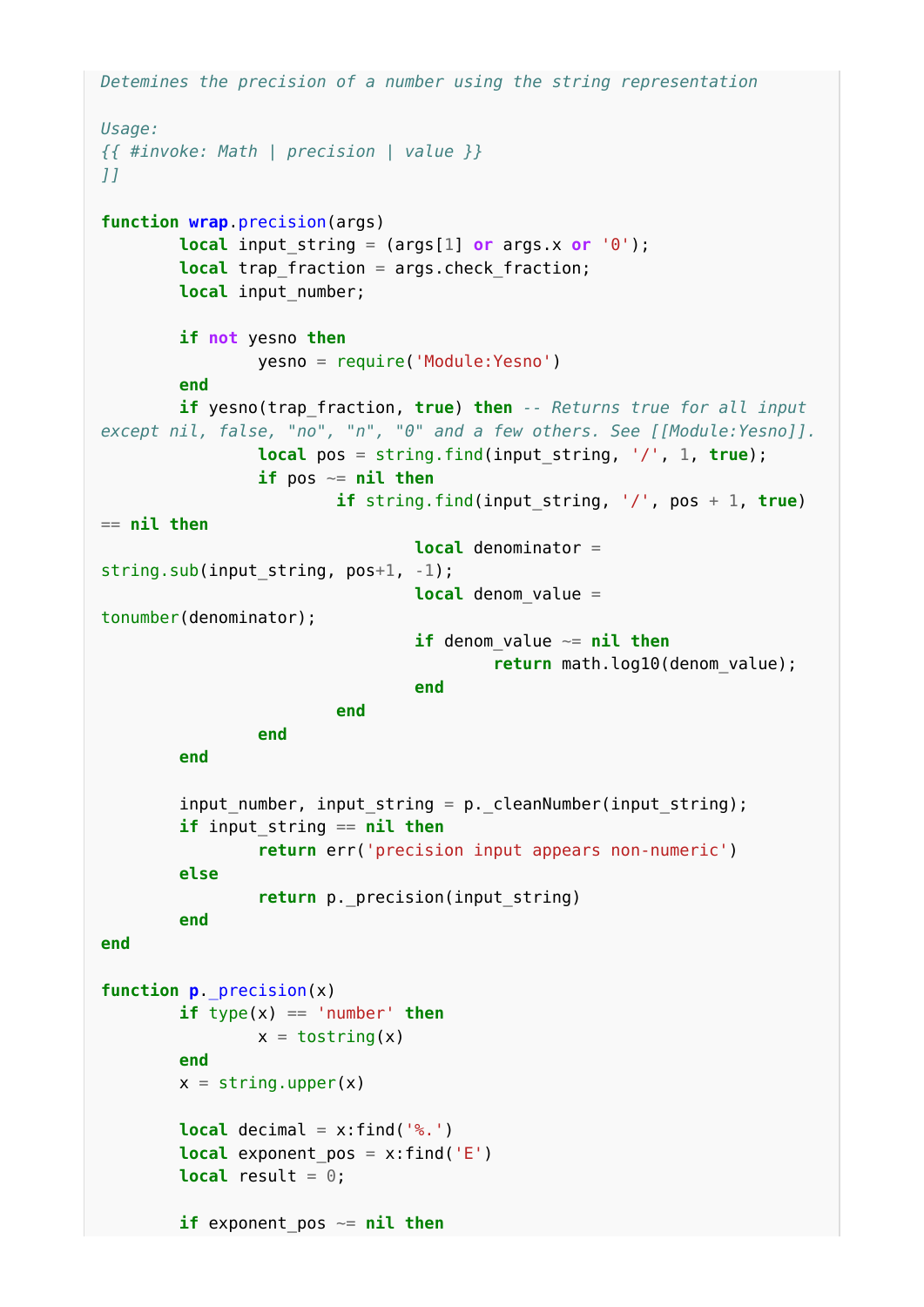```
Detemines the precision of a number using the string representation
Usage:
{{ #invoke: Math | precision | value }}
]]
function wrap.precision(args)
            local input_string = (args[1] or args.x or '0');
           local trap fraction = args.check fraction;
           local input number;
            if not yesno then
                      yesno = require('Module:Yesno')
            end
            if yesno(trap_fraction, true) then -- Returns true for all input
except nil, false, "no", "n", "0" and a few others. See [[Module:Yesno]].
                     local pos = string.find(input string, '/', 1, true);
                       if pos ~= nil then
                                 if string.find(input_string, '/', pos + 1, true)
== nil then
                                            local denominator =
string.sub(input string, pos+1, -1);
                                            local denom_value =
tonumber(denominator);
                                            if denom_value ~= nil then
                                                       return math.log10(denom_value);
end and the contract of the contract of the contract of the contract of the contract of the contract of the contract of the contract of the contract of the contract of the contract of the contract of the contract of the 
end and the contract of the contract of the contract of the contract of the contract of the contract of the contract of the contract of the contract of the contract of the contract of the contract of the contract of the 
                      end
            end
            input_number, input_string = p._cleanNumber(input_string);
            if input_string == nil then
                       return err('precision input appears non-numeric')
            else
                      return p. precision(input string)
            end
end
function p._precision(x)
           if type(x) == 'number' then
                     x = \text{toString}(x) end
           x = string.upper(x)
           local decimal = x:find('%.'')local exponent pos = x:find('E')local result = 0;
           if exponent pos \sim= nil then
```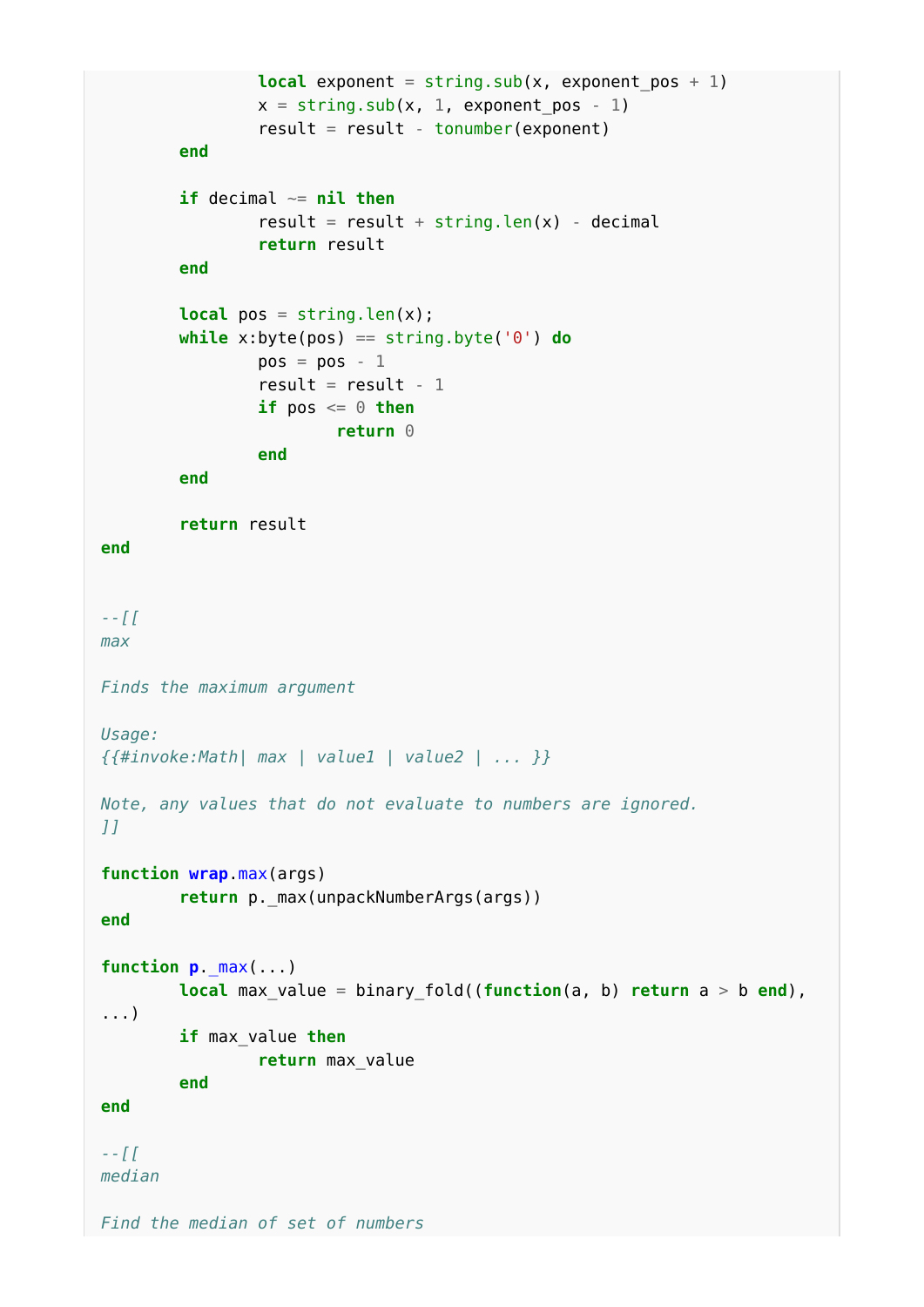```
local exponent = string.sub(x, exponent pos + 1)
                x = string.sub(x, 1, exponent pos - 1)
                result = result - tonumber(exponent) end
         if decimal ~= nil then
                result = result + string.len(x) - decimal
                 return result
         end
        local pos = string.length(x);
         while x:byte(pos) == string.byte('0') do
                pos = pos - 1result = result - 1if pos \leq 0 then
                         return 0
                 end
         end
         return result
end
--[[
max
Finds the maximum argument
Usage:
{{#invoke:Math| max | value1 | value2 | ... }}
Note, any values that do not evaluate to numbers are ignored.
]]
function wrap.max(args)
         return p._max(unpackNumberArgs(args))
end
function p._max(...)
         local max_value = binary_fold((function(a, b) return a > b end),
...)
         if max_value then
                 return max_value
         end
end
--[[
median
Find the median of set of numbers
```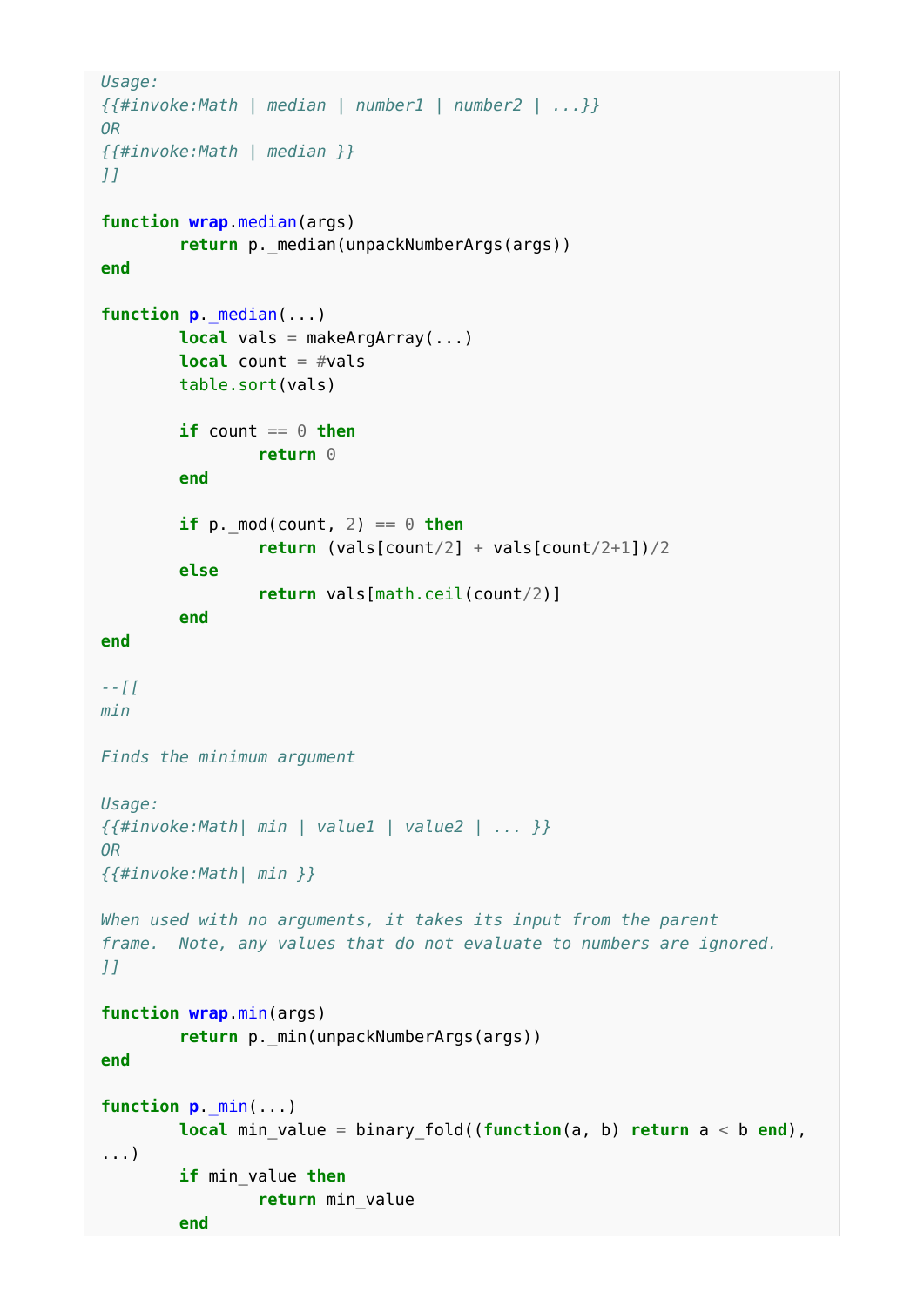```
Usage:
{{#invoke:Math | median | number1 | number2 | ...}}
OR
{{#invoke:Math | median }}
]]
function wrap.median(args)
        return p. median(unpackNumberArgs(args))
end
function p._median(...)
         local vals = makeArgArray(...)
         local count = #vals
         table.sort(vals)
        if count == 0 then return 0
         end
        if p \cdot \text{mod}(count, 2) == \theta then
                  return (vals[count/2] + vals[count/2+1])/2
         else
                  return vals[math.ceil(count/2)]
         end
end
--[[
min
Finds the minimum argument
Usage:
{{#invoke:Math| min | value1 | value2 | ... }}
OR
{{#invoke:Math| min }}
When used with no arguments, it takes its input from the parent
frame. Note, any values that do not evaluate to numbers are ignored.
]]
function wrap.min(args)
         return p._min(unpackNumberArgs(args))
end
function p._min(...)
         local min_value = binary_fold((function(a, b) return a < b end),
...)
         if min_value then
                  return min_value
         end
```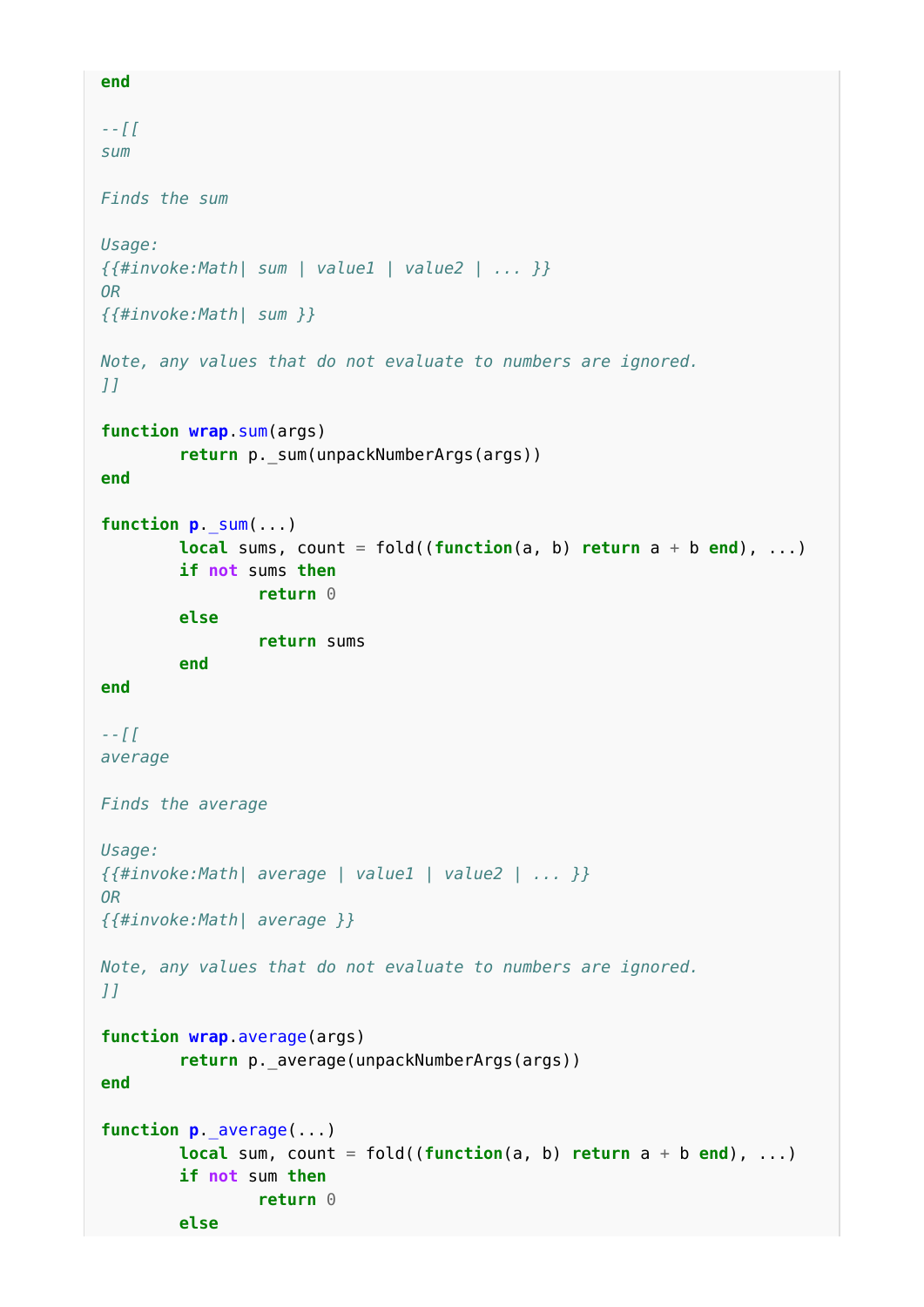```
end
--[[
sum
Finds the sum
Usage:
{{#invoke:Math| sum | value1 | value2 | ... }}
OR
{{#invoke:Math| sum }}
Note, any values that do not evaluate to numbers are ignored.
]]
function wrap.sum(args)
         return p._sum(unpackNumberArgs(args))
end
function p._sum(...)
        local sums, count = fold((function(a, b)) return a + b end), ...)
         if not sums then
                 return 0
         else
                 return sums
         end
end
--[[
average
Finds the average
Usage:
{{#invoke:Math| average | value1 | value2 | ... }}
OR
{{#invoke:Math| average }}
Note, any values that do not evaluate to numbers are ignored.
]]
function wrap.average(args)
        return p. average(unpackNumberArgs(args))
end
function p._average(...)
        local sum, count = fold((function(a, b) return a + b end), ...)
         if not sum then
                 return 0
         else
```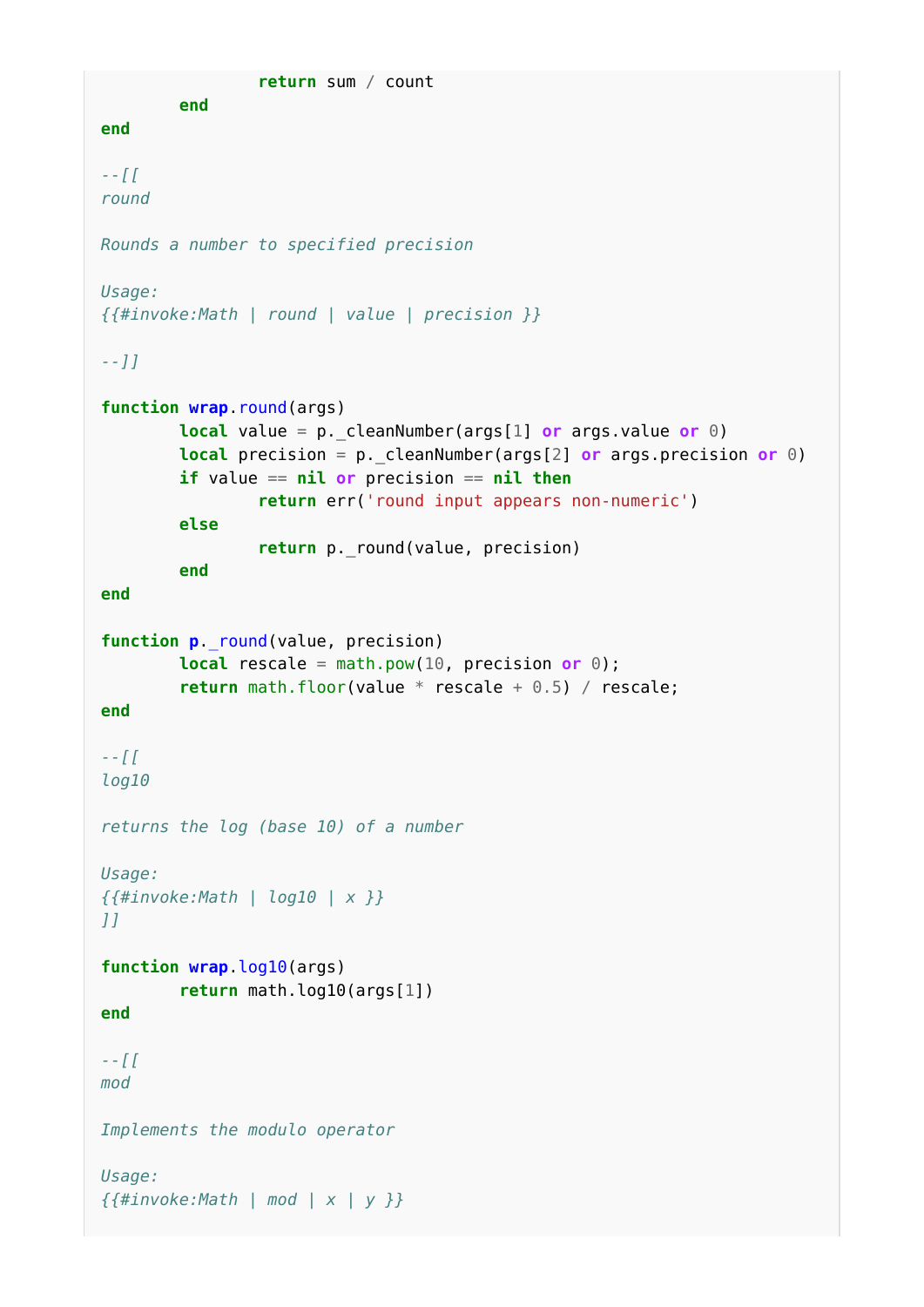```
 return sum / count
         end
end
--[[
round
Rounds a number to specified precision
Usage:
{{#invoke:Math | round | value | precision }}
--]]
function wrap.round(args)
         local value = p._cleanNumber(args[1] or args.value or 0)
        local precision = p. cleanNumber(args[2] or args.precision or \theta)
         if value == nil or precision == nil then
                 return err('round input appears non-numeric')
         else
                 return p._round(value, precision)
         end
end
function p. round(value, precision)
         local rescale = math.pow(10, precision or 0);
         return math.floor(value * rescale + 0.5) / rescale;
end
--[[
log10
returns the log (base 10) of a number
Usage:
{{#invoke:Math | log10 | x }}
]]
function wrap.log10(args)
         return math.log10(args[1])
end
--[[
mod
Implements the modulo operator
Usage:
{{#invoke:Math | mod | x | y }}
```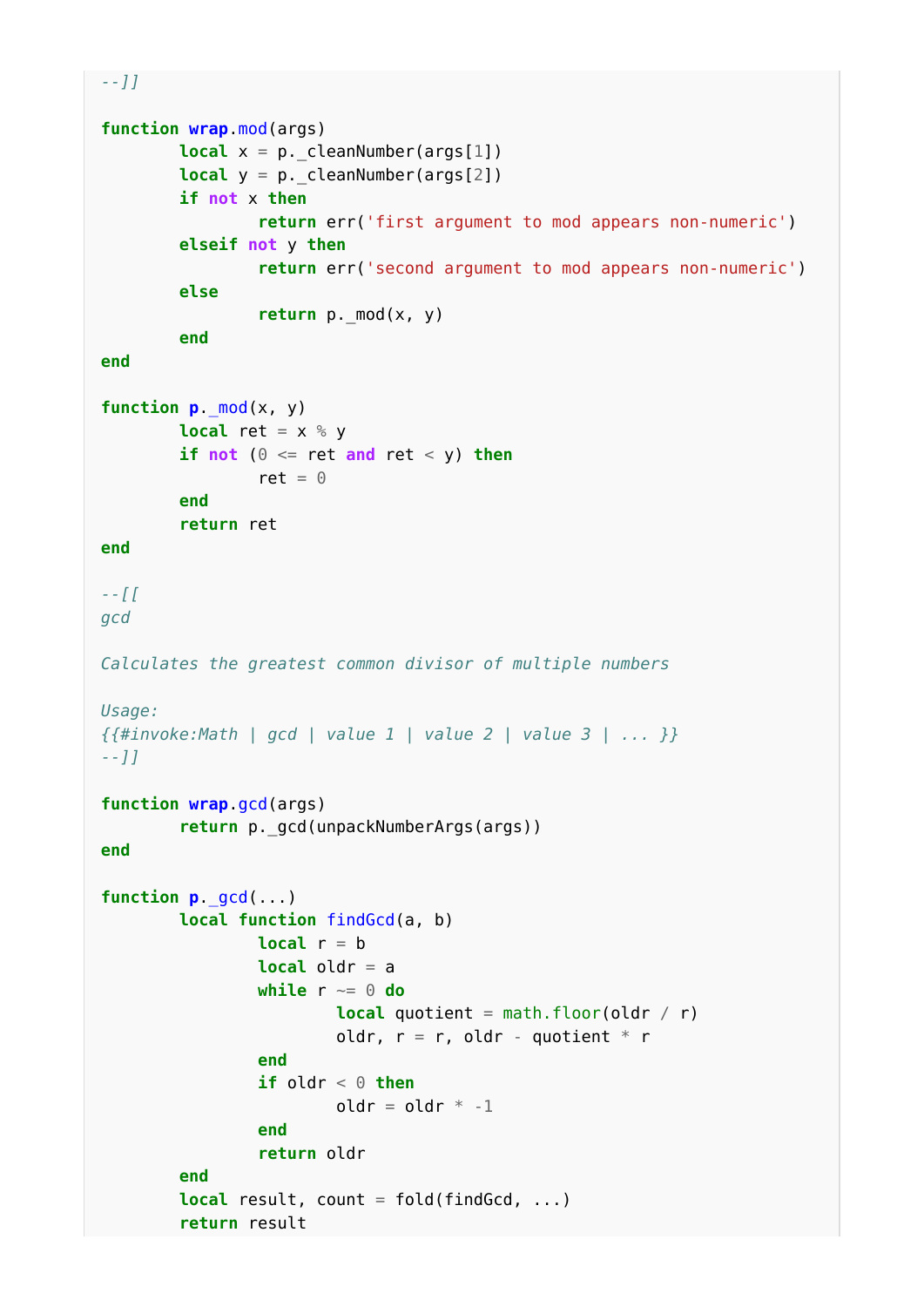```
--]]
function wrap.mod(args)
        local x = p. cleanNumber(args[1])
        local y = p. cleanNumber(args[2])
         if not x then
                  return err('first argument to mod appears non-numeric')
         elseif not y then
                  return err('second argument to mod appears non-numeric')
         else
                 return p. mod(x, y) end
end
function p._mod(x, y)
        local ret = x % yif not (\theta \leq ret and ret < y) then
                ret = \theta end
         return ret
end
--[[
gcd
Calculates the greatest common divisor of multiple numbers
Usage:
{{#invoke:Math | gcd | value 1 | value 2 | value 3 | ... }}
--]]
function wrap.gcd(args)
         return p._gcd(unpackNumberArgs(args))
end
function p._gcd(...)
         local function findGcd(a, b)
                local r = b local oldr = a
                 while r ~= 0 do
                         local quotient = math.floor(oldr / r)
                         oldr, r = r, oldr - quotient * r
                 end
                if oldr \leq 0 then
                         oldr = oldr * -1 end
                  return oldr
         end
        local result, count = fold(findGcd, ...)
         return result
```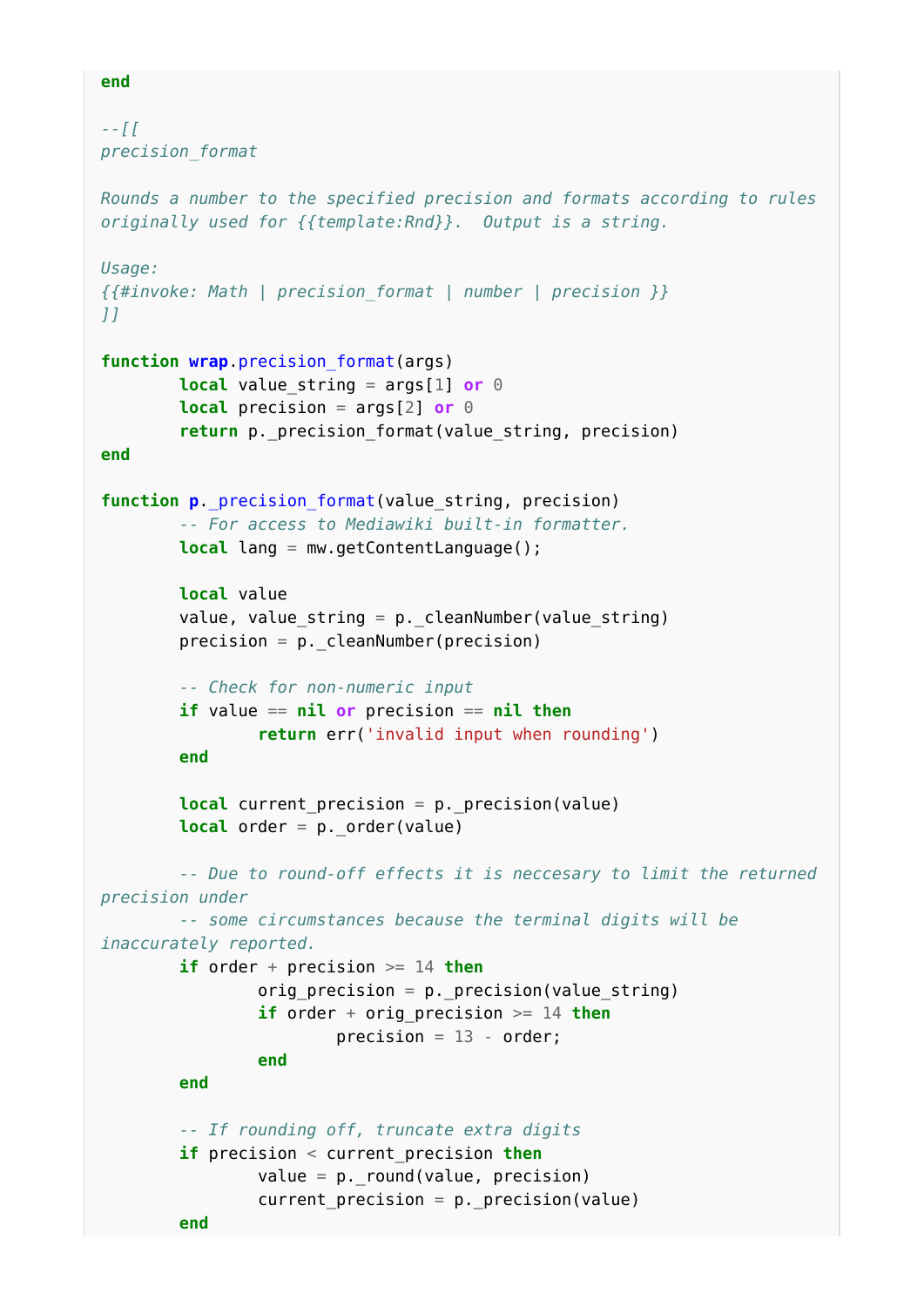```
--[[
precision_format
Rounds a number to the specified precision and formats according to rules
originally used for {{template:Rnd}}. Output is a string.
Usage:
{{#invoke: Math | precision_format | number | precision }}
]]
function wrap.precision_format(args)
        local value string = \arg[1] or 0
         local precision = args[2] or 0
         return p._precision_format(value_string, precision)
end
function p._precision_format(value_string, precision)
         -- For access to Mediawiki built-in formatter.
         local lang = mw.getContentLanguage();
         local value
         value, value_string = p._cleanNumber(value_string)
        precision = p. cleanNumber(precision)
         -- Check for non-numeric input
         if value == nil or precision == nil then
                 return err('invalid input when rounding')
         end
         local current_precision = p._precision(value)
        local order = p. order(value)
         -- Due to round-off effects it is neccesary to limit the returned
precision under
         -- some circumstances because the terminal digits will be
inaccurately reported.
         if order + precision >= 14 then
                 orig_precision = p._precision(value_string)
                if order + orig precision >= 14 then
                         precision = 13 - order; end
         end
         -- If rounding off, truncate extra digits
         if precision < current_precision then
                value = p_{\text{r}-round}(value, precision)current precision = p. precision(value)
```

```
end
```
**end**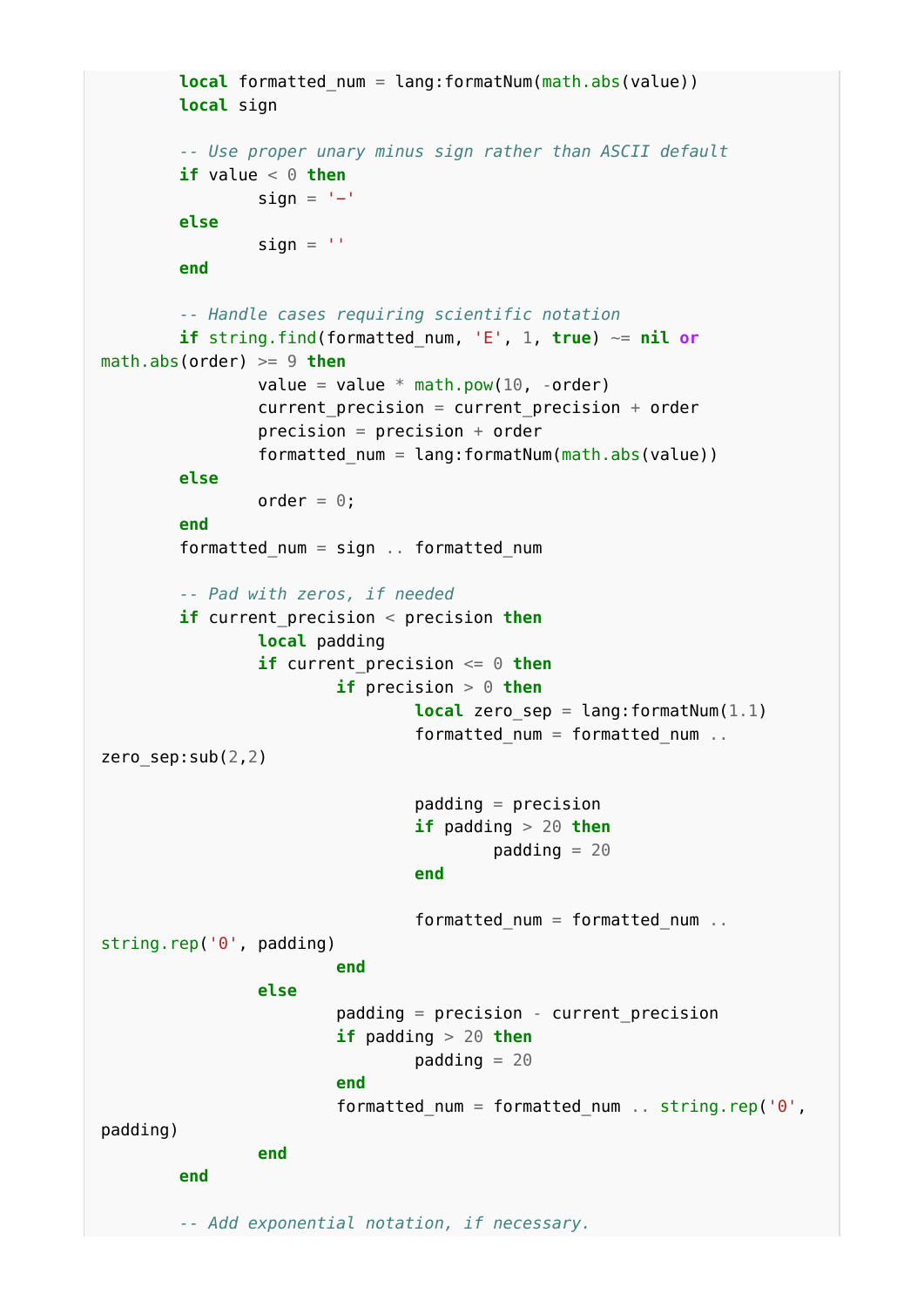```
local formatted num = lang:formatNum(math.abs(value))
             local sign
             -- Use proper unary minus sign rather than ASCII default
            if value \leq 0 then
                         sign = '−'
             else
                         sian = end
             -- Handle cases requiring scientific notation
            if string.find(formatted num, 'E', 1, true) \sim= nil or
math.abs(order) >= 9 then
                         value = value * math.pow(10, -order)
                         current precision = current precision + order
                          precision = precision + order
                         formatted num = lang:formatNum(math.abs(value)) else
                         order = 0;
             end
             formatted_num = sign .. formatted_num
             -- Pad with zeros, if needed
             if current_precision < precision then
                         local padding
                          if current_precision <= 0 then
                                      if precision > 0 then
                                                   local zero_sep = lang:formatNum(1.1)
                                                  formatted num = formatted num..
zero sep:sub(2,2)padding = precision
                                                   if padding > 20 then
                                                              padding = 20end and the contract of the contract of the contract of the contract of the contract of the contract of the contract of the contract of the contract of the contract of the contract of the contract of the contract of the 
                                                  formatted num = formatted num \ldotsstring.rep('0', padding)
end and the contract of the contract of the contract of the contract of the contract of the contract of the contract of the contract of the contract of the contract of the contract of the contract of the contract of the 
                          else
                                     padding = precision - current precision
                                      if padding > 20 then
                                                 padding = 20end and the contract of the contract of the contract of the contract of the contract of the contract of the contract of the contract of the contract of the contract of the contract of the contract of the contract of the 
                                     formatted num = formatted num .. string.rep('0',
padding)
                          end
             end
             -- Add exponential notation, if necessary.
```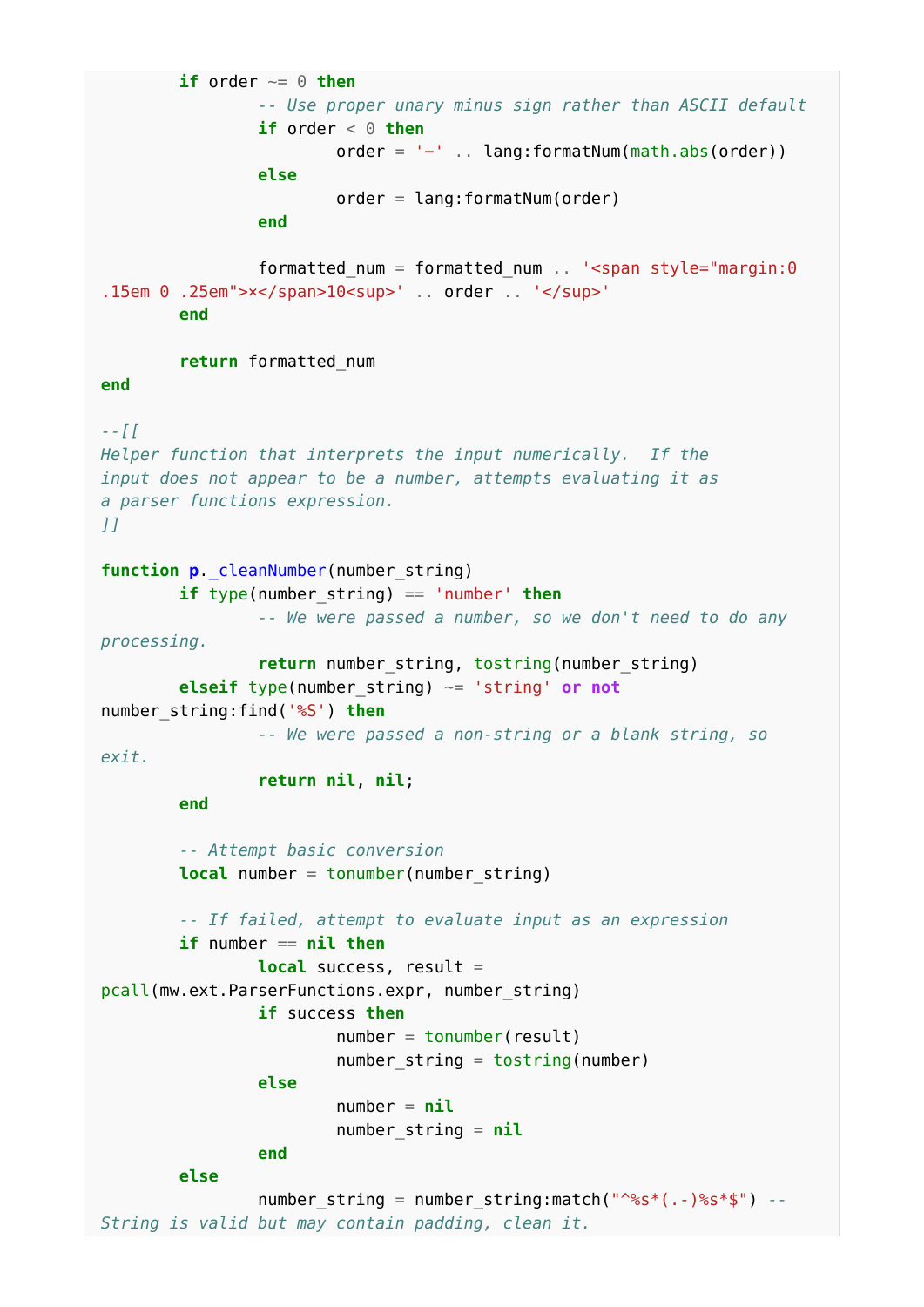**if** order  $\sim= 0$  **then**  *-- Use proper unary minus sign rather than ASCII default* **if** order  $\leq \theta$  **then**  order = '−' .. lang:formatNum(math.abs(order)) **else**  $order = \text{land:formatNum}(\text{order})$  **end** formatted\_num = formatted\_num .. '<span style="margin:0 .15em 0 .25em">x</span>10<sup>' .. order .. '</sup>' **end return** formatted\_num **end** *--[[ Helper function that interprets the input numerically. If the input does not appear to be a number, attempts evaluating it as a parser functions expression. ]]* function **p**. cleanNumber(number string) **if** type(number\_string) == 'number' **then** *-- We were passed a number, so we don't need to do any processing.* **return** number\_string, tostring(number\_string) **elseif** type(number\_string) ~= 'string' **or not** number\_string:find('%S') **then** *-- We were passed a non-string or a blank string, so exit.* **return nil**, **nil**; **end** *-- Attempt basic conversion* **local** number = tonumber(number string) *-- If failed, attempt to evaluate input as an expression* **if** number == **nil then local** success, result = pcall(mw.ext.ParserFunctions.expr, number\_string) **if** success **then**  $number = tonumber(result)$ number string = tostring(number) **else**  $number = nil$  number\_string = **nil end else** number string = number string:match("^%s\*(.-)%s\*\$") --*String is valid but may contain padding, clean it.*